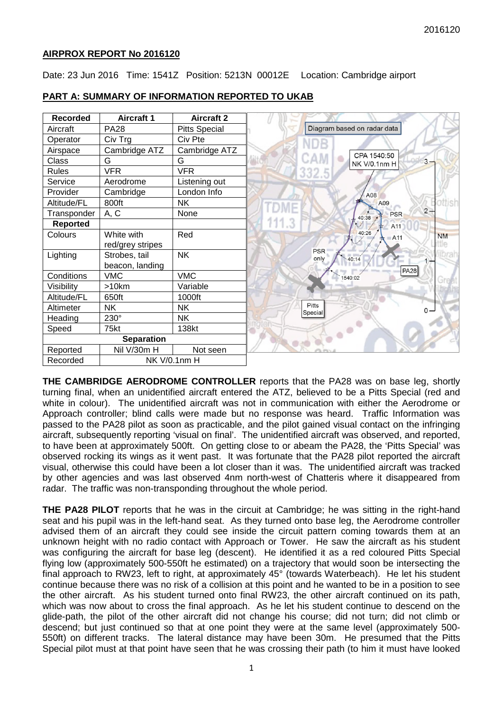### **AIRPROX REPORT No 2016120**

Date: 23 Jun 2016 Time: 1541Z Position: 5213N 00012E Location: Cambridge airport

| <b>Recorded</b>   | <b>Aircraft 1</b> | <b>Aircraft 2</b>    |
|-------------------|-------------------|----------------------|
| Aircraft          | <b>PA28</b>       | <b>Pitts Special</b> |
| Operator          | Civ Trg           | Civ Pte              |
| Airspace          | Cambridge ATZ     | Cambridge ATZ        |
| Class             | G                 | G                    |
| <b>Rules</b>      | <b>VFR</b>        | <b>VFR</b>           |
| Service           | Aerodrome         | Listening out        |
| Provider          | Cambridge         | London Info          |
| Altitude/FL       | 800ft             | <b>NK</b>            |
| Transponder       | A, C              | None                 |
| Reported          |                   |                      |
| Colours           | White with        | Red                  |
|                   | red/grey stripes  |                      |
| Lighting          | Strobes, tail     | <b>NK</b>            |
|                   | beacon, landing   |                      |
| Conditions        | <b>VMC</b>        | <b>VMC</b>           |
| Visibility        | >10km             | Variable             |
| Altitude/FL       | 650ft             | 1000ft               |
| Altimeter         | <b>NK</b>         | <b>NK</b>            |
| Heading           | 230°              | NΚ.                  |
| Speed             | 75kt              | 138kt                |
| <b>Separation</b> |                   |                      |
| Reported          | Nil V/30m H       | Not seen             |
| Recorded          | NK V/0.1nm H      |                      |

### **PART A: SUMMARY OF INFORMATION REPORTED TO UKAB**

**THE CAMBRIDGE AERODROME CONTROLLER** reports that the PA28 was on base leg, shortly turning final, when an unidentified aircraft entered the ATZ, believed to be a Pitts Special (red and white in colour). The unidentified aircraft was not in communication with either the Aerodrome or Approach controller; blind calls were made but no response was heard. Traffic Information was passed to the PA28 pilot as soon as practicable, and the pilot gained visual contact on the infringing aircraft, subsequently reporting 'visual on final'. The unidentified aircraft was observed, and reported, to have been at approximately 500ft. On getting close to or abeam the PA28, the 'Pitts Special' was observed rocking its wings as it went past. It was fortunate that the PA28 pilot reported the aircraft visual, otherwise this could have been a lot closer than it was. The unidentified aircraft was tracked by other agencies and was last observed 4nm north-west of Chatteris where it disappeared from radar. The traffic was non-transponding throughout the whole period.

**THE PA28 PILOT** reports that he was in the circuit at Cambridge; he was sitting in the right-hand seat and his pupil was in the left-hand seat. As they turned onto base leg, the Aerodrome controller advised them of an aircraft they could see inside the circuit pattern coming towards them at an unknown height with no radio contact with Approach or Tower. He saw the aircraft as his student was configuring the aircraft for base leg (descent). He identified it as a red coloured Pitts Special flying low (approximately 500-550ft he estimated) on a trajectory that would soon be intersecting the final approach to RW23, left to right, at approximately 45° (towards Waterbeach). He let his student continue because there was no risk of a collision at this point and he wanted to be in a position to see the other aircraft. As his student turned onto final RW23, the other aircraft continued on its path, which was now about to cross the final approach. As he let his student continue to descend on the glide-path, the pilot of the other aircraft did not change his course; did not turn; did not climb or descend; but just continued so that at one point they were at the same level (approximately 500- 550ft) on different tracks. The lateral distance may have been 30m. He presumed that the Pitts Special pilot must at that point have seen that he was crossing their path (to him it must have looked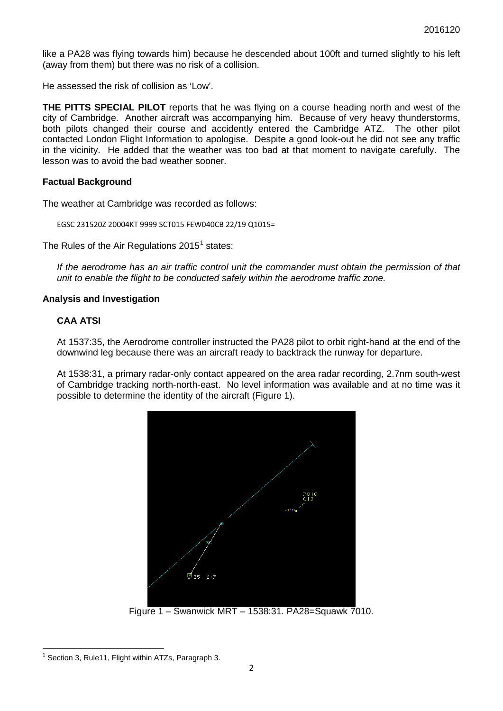like a PA28 was flying towards him) because he descended about 100ft and turned slightly to his left (away from them) but there was no risk of a collision.

He assessed the risk of collision as 'Low'.

**THE PITTS SPECIAL PILOT** reports that he was flying on a course heading north and west of the city of Cambridge. Another aircraft was accompanying him. Because of very heavy thunderstorms, both pilots changed their course and accidently entered the Cambridge ATZ. The other pilot contacted London Flight Information to apologise. Despite a good look-out he did not see any traffic in the vicinity. He added that the weather was too bad at that moment to navigate carefully. The lesson was to avoid the bad weather sooner.

### **Factual Background**

The weather at Cambridge was recorded as follows:

EGSC 231520Z 20004KT 9999 SCT015 FEW040CB 22/19 Q1015=

The Rules of the Air Regulations  $2015<sup>1</sup>$  $2015<sup>1</sup>$  $2015<sup>1</sup>$  states:

*If the aerodrome has an air traffic control unit the commander must obtain the permission of that unit to enable the flight to be conducted safely within the aerodrome traffic zone.*

### **Analysis and Investigation**

### **CAA ATSI**

At 1537:35, the Aerodrome controller instructed the PA28 pilot to orbit right-hand at the end of the downwind leg because there was an aircraft ready to backtrack the runway for departure.

At 1538:31, a primary radar-only contact appeared on the area radar recording, 2.7nm south-west of Cambridge tracking north-north-east. No level information was available and at no time was it possible to determine the identity of the aircraft (Figure 1).



Figure 1 – Swanwick MRT – 1538:31. PA28=Squawk 7010.

<span id="page-1-0"></span> $1$  Section 3, Rule11, Flight within ATZs, Paragraph 3.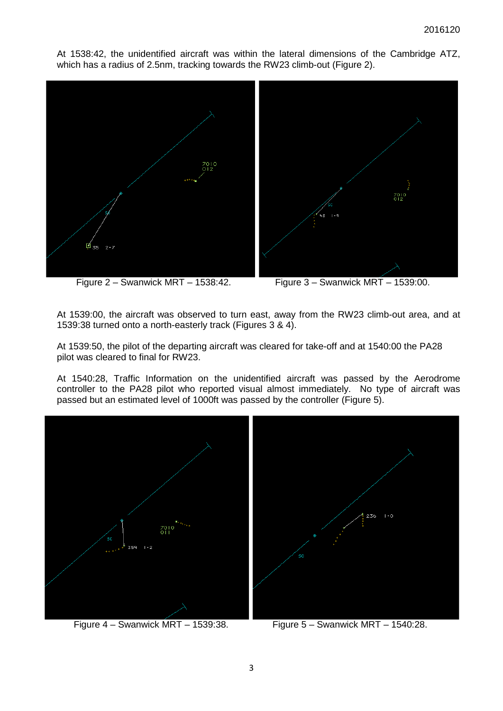At 1538:42, the unidentified aircraft was within the lateral dimensions of the Cambridge ATZ, which has a radius of 2.5nm, tracking towards the RW23 climb-out (Figure 2).



Figure 2 – Swanwick MRT – 1538:42. Figure 3 – Swanwick MRT – 1539:00.

At 1539:00, the aircraft was observed to turn east, away from the RW23 climb-out area, and at 1539:38 turned onto a north-easterly track (Figures 3 & 4).

At 1539:50, the pilot of the departing aircraft was cleared for take-off and at 1540:00 the PA28 pilot was cleared to final for RW23.

At 1540:28, Traffic Information on the unidentified aircraft was passed by the Aerodrome controller to the PA28 pilot who reported visual almost immediately. No type of aircraft was passed but an estimated level of 1000ft was passed by the controller (Figure 5).



Figure 4 – Swanwick MRT – 1539:38. Figure 5 – Swanwick MRT – 1540:28.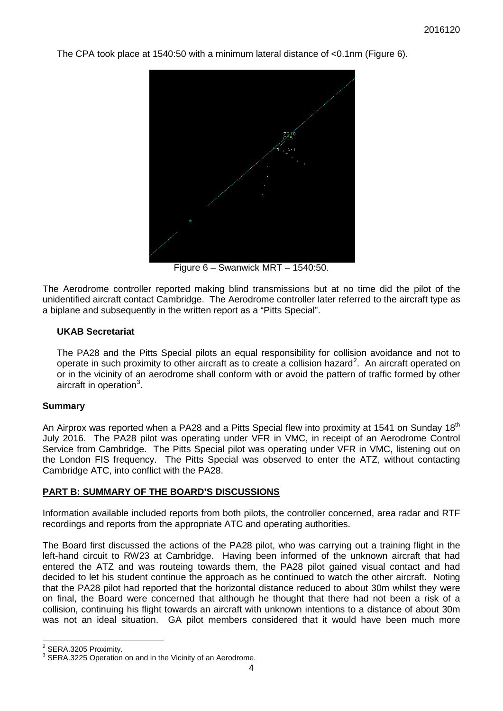The CPA took place at 1540:50 with a minimum lateral distance of  $\leq 0.1$ nm (Figure 6).



Figure 6 – Swanwick MRT – 1540:50.

The Aerodrome controller reported making blind transmissions but at no time did the pilot of the unidentified aircraft contact Cambridge. The Aerodrome controller later referred to the aircraft type as a biplane and subsequently in the written report as a "Pitts Special".

## **UKAB Secretariat**

The PA28 and the Pitts Special pilots an equal responsibility for collision avoidance and not to operate in such proximity to other aircraft as to create a collision hazard<sup>[2](#page-3-0)</sup>. An aircraft operated on or in the vicinity of an aerodrome shall conform with or avoid the pattern of traffic formed by other aircraft in operation<sup>[3](#page-3-1)</sup>.

### **Summary**

An Airprox was reported when a PA28 and a Pitts Special flew into proximity at 1541 on Sunday 18<sup>th</sup> July 2016. The PA28 pilot was operating under VFR in VMC, in receipt of an Aerodrome Control Service from Cambridge. The Pitts Special pilot was operating under VFR in VMC, listening out on the London FIS frequency. The Pitts Special was observed to enter the ATZ, without contacting Cambridge ATC, into conflict with the PA28.

# **PART B: SUMMARY OF THE BOARD'S DISCUSSIONS**

Information available included reports from both pilots, the controller concerned, area radar and RTF recordings and reports from the appropriate ATC and operating authorities.

The Board first discussed the actions of the PA28 pilot, who was carrying out a training flight in the left-hand circuit to RW23 at Cambridge. Having been informed of the unknown aircraft that had entered the ATZ and was routeing towards them, the PA28 pilot gained visual contact and had decided to let his student continue the approach as he continued to watch the other aircraft. Noting that the PA28 pilot had reported that the horizontal distance reduced to about 30m whilst they were on final, the Board were concerned that although he thought that there had not been a risk of a collision, continuing his flight towards an aircraft with unknown intentions to a distance of about 30m was not an ideal situation. GA pilot members considered that it would have been much more

<span id="page-3-1"></span><span id="page-3-0"></span>

<sup>&</sup>lt;sup>2</sup> SERA.3205 Proximity.<br><sup>3</sup> SERA.3225 Operation on and in the Vicinity of an Aerodrome.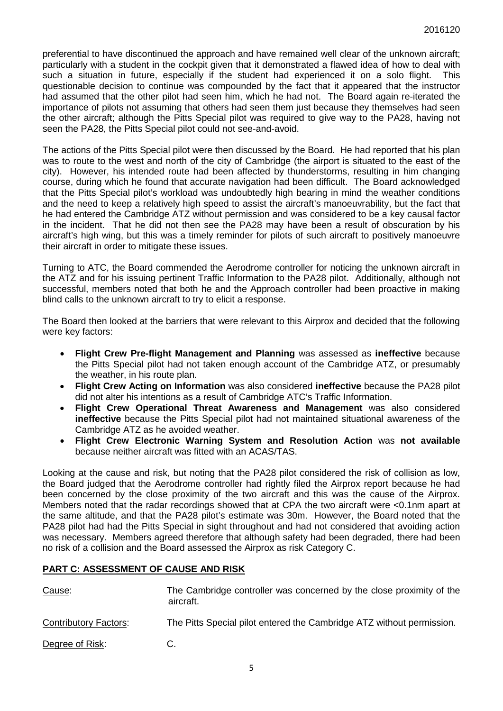preferential to have discontinued the approach and have remained well clear of the unknown aircraft; particularly with a student in the cockpit given that it demonstrated a flawed idea of how to deal with such a situation in future, especially if the student had experienced it on a solo flight. This questionable decision to continue was compounded by the fact that it appeared that the instructor had assumed that the other pilot had seen him, which he had not. The Board again re-iterated the importance of pilots not assuming that others had seen them just because they themselves had seen the other aircraft; although the Pitts Special pilot was required to give way to the PA28, having not seen the PA28, the Pitts Special pilot could not see-and-avoid.

The actions of the Pitts Special pilot were then discussed by the Board. He had reported that his plan was to route to the west and north of the city of Cambridge (the airport is situated to the east of the city). However, his intended route had been affected by thunderstorms, resulting in him changing course, during which he found that accurate navigation had been difficult. The Board acknowledged that the Pitts Special pilot's workload was undoubtedly high bearing in mind the weather conditions and the need to keep a relatively high speed to assist the aircraft's manoeuvrability, but the fact that he had entered the Cambridge ATZ without permission and was considered to be a key causal factor in the incident. That he did not then see the PA28 may have been a result of obscuration by his aircraft's high wing, but this was a timely reminder for pilots of such aircraft to positively manoeuvre their aircraft in order to mitigate these issues.

Turning to ATC, the Board commended the Aerodrome controller for noticing the unknown aircraft in the ATZ and for his issuing pertinent Traffic Information to the PA28 pilot. Additionally, although not successful, members noted that both he and the Approach controller had been proactive in making blind calls to the unknown aircraft to try to elicit a response.

The Board then looked at the barriers that were relevant to this Airprox and decided that the following were key factors:

- **Flight Crew Pre-flight Management and Planning** was assessed as **ineffective** because the Pitts Special pilot had not taken enough account of the Cambridge ATZ, or presumably the weather, in his route plan.
- **Flight Crew Acting on Information** was also considered **ineffective** because the PA28 pilot did not alter his intentions as a result of Cambridge ATC's Traffic Information.
- **Flight Crew Operational Threat Awareness and Management** was also considered **ineffective** because the Pitts Special pilot had not maintained situational awareness of the Cambridge ATZ as he avoided weather.
- **Flight Crew Electronic Warning System and Resolution Action** was **not available** because neither aircraft was fitted with an ACAS/TAS.

Looking at the cause and risk, but noting that the PA28 pilot considered the risk of collision as low, the Board judged that the Aerodrome controller had rightly filed the Airprox report because he had been concerned by the close proximity of the two aircraft and this was the cause of the Airprox. Members noted that the radar recordings showed that at CPA the two aircraft were <0.1nm apart at the same altitude, and that the PA28 pilot's estimate was 30m. However, the Board noted that the PA28 pilot had had the Pitts Special in sight throughout and had not considered that avoiding action was necessary. Members agreed therefore that although safety had been degraded, there had been no risk of a collision and the Board assessed the Airprox as risk Category C.

# **PART C: ASSESSMENT OF CAUSE AND RISK**

| Cause:                       | The Cambridge controller was concerned by the close proximity of the<br>aircraft. |
|------------------------------|-----------------------------------------------------------------------------------|
| <b>Contributory Factors:</b> | The Pitts Special pilot entered the Cambridge ATZ without permission.             |
| Degree of Risk:              | C.                                                                                |